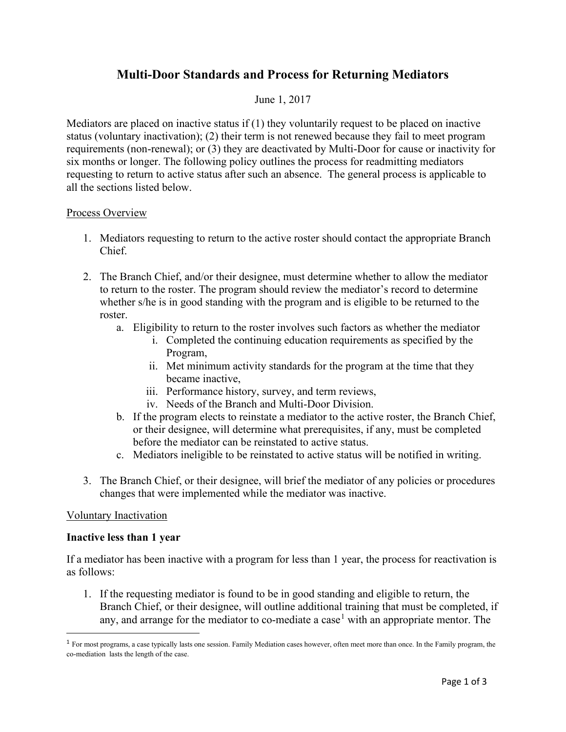# **Multi-Door Standards and Process for Returning Mediators**

## June 1, 2017

Mediators are placed on inactive status if  $(1)$  they voluntarily request to be placed on inactive status (voluntary inactivation); (2) their term is not renewed because they fail to meet program requirements (non-renewal); or (3) they are deactivated by Multi-Door for cause or inactivity for six months or longer. The following policy outlines the process for readmitting mediators requesting to return to active status after such an absence. The general process is applicable to all the sections listed below.

#### Process Overview

- 1. Mediators requesting to return to the active roster should contact the appropriate Branch Chief.
- 2. The Branch Chief, and/or their designee, must determine whether to allow the mediator to return to the roster. The program should review the mediator's record to determine whether s/he is in good standing with the program and is eligible to be returned to the roster.
	- a. Eligibility to return to the roster involves such factors as whether the mediator
		- i. Completed the continuing education requirements as specified by the Program,
		- ii. Met minimum activity standards for the program at the time that they became inactive,
		- iii. Performance history, survey, and term reviews,
		- iv. Needs of the Branch and Multi-Door Division.
	- b. If the program elects to reinstate a mediator to the active roster, the Branch Chief, or their designee, will determine what prerequisites, if any, must be completed before the mediator can be reinstated to active status.
	- c. Mediators ineligible to be reinstated to active status will be notified in writing.
- 3. The Branch Chief, or their designee, will brief the mediator of any policies or procedures changes that were implemented while the mediator was inactive.

## Voluntary Inactivation

#### **Inactive less than 1 year**

If a mediator has been inactive with a program for less than 1 year, the process for reactivation is as follows:

1. If the requesting mediator is found to be in good standing and eligible to return, the Branch Chief, or their designee, will outline additional training that must be completed, if any, and arrange for the mediator to co-mediate a case<sup>[1](#page-0-0)</sup> with an appropriate mentor. The

<span id="page-0-0"></span><sup>&</sup>lt;sup>1</sup> For most programs, a case typically lasts one session. Family Mediation cases however, often meet more than once. In the Family program, the co-mediation lasts the length of the case.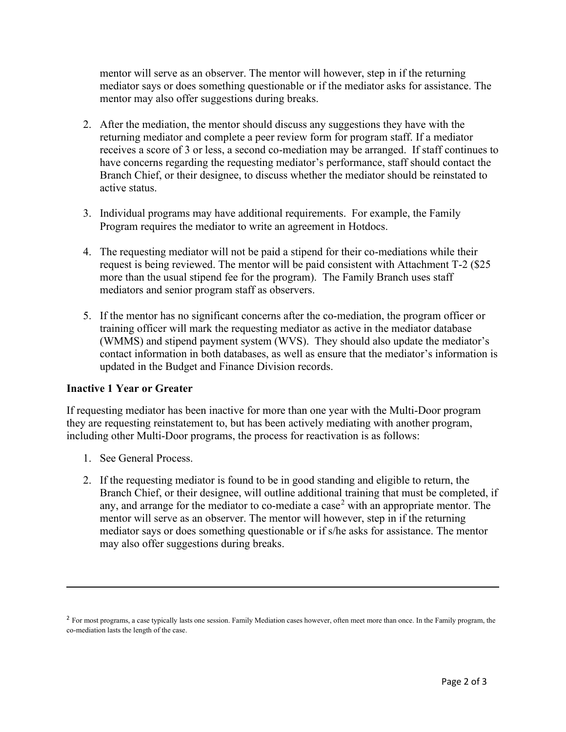mentor will serve as an observer. The mentor will however, step in if the returning mediator says or does something questionable or if the mediator asks for assistance. The mentor may also offer suggestions during breaks.

- 2. After the mediation, the mentor should discuss any suggestions they have with the returning mediator and complete a peer review form for program staff. If a mediator receives a score of 3 or less, a second co-mediation may be arranged. If staff continues to have concerns regarding the requesting mediator's performance, staff should contact the Branch Chief, or their designee, to discuss whether the mediator should be reinstated to active status.
- 3. Individual programs may have additional requirements. For example, the Family Program requires the mediator to write an agreement in Hotdocs.
- 4. The requesting mediator will not be paid a stipend for their co-mediations while their request is being reviewed. The mentor will be paid consistent with Attachment T-2 (\$25 more than the usual stipend fee for the program). The Family Branch uses staff mediators and senior program staff as observers.
- 5. If the mentor has no significant concerns after the co-mediation, the program officer or training officer will mark the requesting mediator as active in the mediator database (WMMS) and stipend payment system (WVS). They should also update the mediator's contact information in both databases, as well as ensure that the mediator's information is updated in the Budget and Finance Division records.

# **Inactive 1 Year or Greater**

If requesting mediator has been inactive for more than one year with the Multi-Door program they are requesting reinstatement to, but has been actively mediating with another program, including other Multi-Door programs, the process for reactivation is as follows:

- 1. See General Process.
- 2. If the requesting mediator is found to be in good standing and eligible to return, the Branch Chief, or their designee, will outline additional training that must be completed, if any, and arrange for the mediator to co-mediate a case<sup>[2](#page-1-0)</sup> with an appropriate mentor. The mentor will serve as an observer. The mentor will however, step in if the returning mediator says or does something questionable or if s/he asks for assistance. The mentor may also offer suggestions during breaks.

<span id="page-1-0"></span><sup>&</sup>lt;sup>2</sup> For most programs, a case typically lasts one session. Family Mediation cases however, often meet more than once. In the Family program, the co-mediation lasts the length of the case.